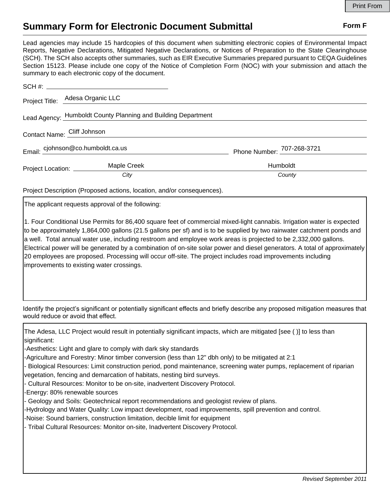## **Summary Form for Electronic Document Submittal Form F Form F**

Lead agencies may include 15 hardcopies of this document when submitting electronic copies of Environmental Impact Reports, Negative Declarations, Mitigated Negative Declarations, or Notices of Preparation to the State Clearinghouse (SCH). The SCH also accepts other summaries, such as EIR Executive Summaries prepared pursuant to CEQA Guidelines Section 15123. Please include one copy of the Notice of Completion Form (NOC) with your submission and attach the summary to each electronic copy of the document.

|                                                               | Project Title: Adesa Organic LLC |                            |
|---------------------------------------------------------------|----------------------------------|----------------------------|
| Lead Agency: Humboldt County Planning and Building Department |                                  |                            |
| Contact Name: Cliff Johnson                                   |                                  |                            |
| Email: cjohnson@co.humboldt.ca.us                             |                                  | Phone Number: 707-268-3721 |
| Project Location: _________                                   | Maple Creek                      | <b>Humboldt</b>            |
|                                                               | City                             | County                     |

Project Description (Proposed actions, location, and/or consequences).

The applicant requests approval of the following:

1. Four Conditional Use Permits for 86,400 square feet of commercial mixed-light cannabis. Irrigation water is expected to be approximately 1,864,000 gallons (21.5 gallons per sf) and is to be supplied by two rainwater catchment ponds and a well. Total annual water use, including restroom and employee work areas is projected to be 2,332,000 gallons. Electrical power will be generated by a combination of on-site solar power and diesel generators. A total of approximately 20 employees are proposed. Processing will occur off-site. The project includes road improvements including improvements to existing water crossings.

Identify the project's significant or potentially significant effects and briefly describe any proposed mitigation measures that would reduce or avoid that effect.

The Adesa, LLC Project would result in potentially significant impacts, which are mitigated [see ( )] to less than significant:

-Aesthetics: Light and glare to comply with dark sky standards

-Agriculture and Forestry: Minor timber conversion (less than 12" dbh only) to be mitigated at 2:1

- Biological Resources: Limit construction period, pond maintenance, screening water pumps, replacement of riparian vegetation, fencing and demarcation of habitats, nesting bird surveys.
- Cultural Resources: Monitor to be on-site, inadvertent Discovery Protocol.

-Energy: 80% renewable sources

- Geology and Soils: Geotechnical report recommendations and geologist review of plans.

-Hydrology and Water Quality: Low impact development, road improvements, spill prevention and control.

-Noise: Sound barriers, construction limitation, decible limit for equipment

- Tribal Cultural Resources: Monitor on-site, Inadvertent Discovery Protocol.